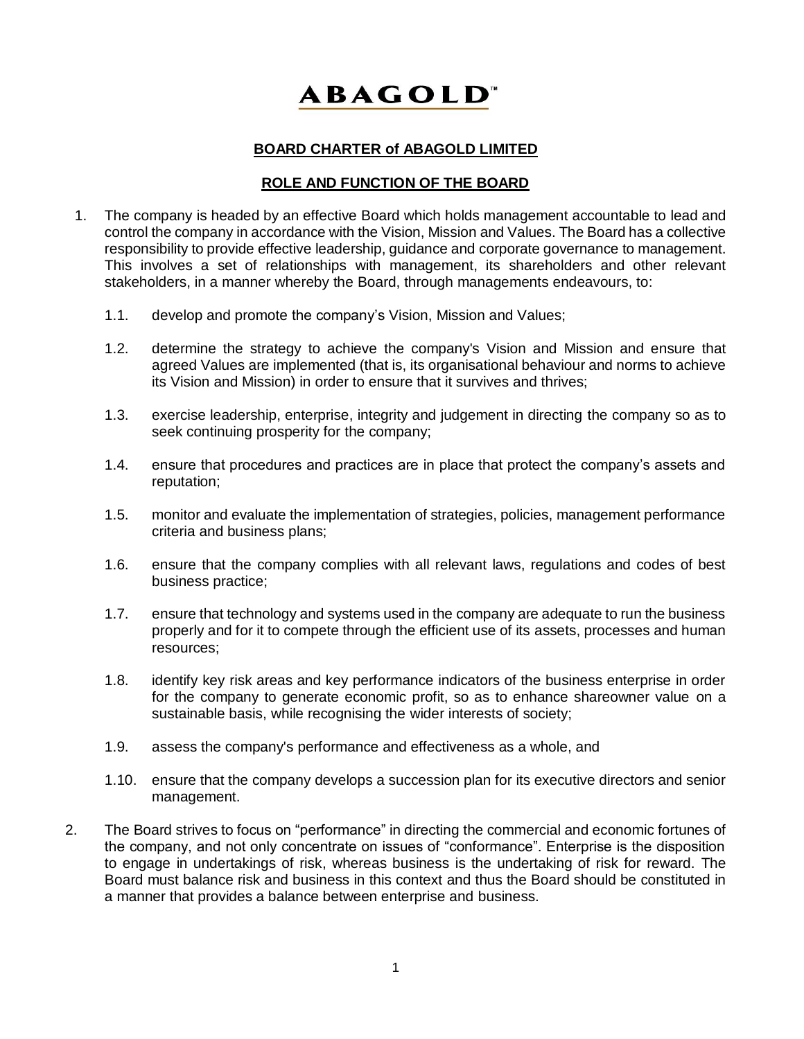## **ABAGOLD**

## **BOARD CHARTER of ABAGOLD LIMITED**

## **ROLE AND FUNCTION OF THE BOARD**

- 1. The company is headed by an effective Board which holds management accountable to lead and control the company in accordance with the Vision, Mission and Values. The Board has a collective responsibility to provide effective leadership, guidance and corporate governance to management. This involves a set of relationships with management, its shareholders and other relevant stakeholders, in a manner whereby the Board, through managements endeavours, to:
	- 1.1. develop and promote the company's Vision, Mission and Values;
	- 1.2. determine the strategy to achieve the company's Vision and Mission and ensure that agreed Values are implemented (that is, its organisational behaviour and norms to achieve its Vision and Mission) in order to ensure that it survives and thrives;
	- 1.3. exercise leadership, enterprise, integrity and judgement in directing the company so as to seek continuing prosperity for the company;
	- 1.4. ensure that procedures and practices are in place that protect the company's assets and reputation;
	- 1.5. monitor and evaluate the implementation of strategies, policies, management performance criteria and business plans;
	- 1.6. ensure that the company complies with all relevant laws, regulations and codes of best business practice;
	- 1.7. ensure that technology and systems used in the company are adequate to run the business properly and for it to compete through the efficient use of its assets, processes and human resources;
	- 1.8. identify key risk areas and key performance indicators of the business enterprise in order for the company to generate economic profit, so as to enhance shareowner value on a sustainable basis, while recognising the wider interests of society;
	- 1.9. assess the company's performance and effectiveness as a whole, and
	- 1.10. ensure that the company develops a succession plan for its executive directors and senior management.
- 2. The Board strives to focus on "performance" in directing the commercial and economic fortunes of the company, and not only concentrate on issues of "conformance". Enterprise is the disposition to engage in undertakings of risk, whereas business is the undertaking of risk for reward. The Board must balance risk and business in this context and thus the Board should be constituted in a manner that provides a balance between enterprise and business.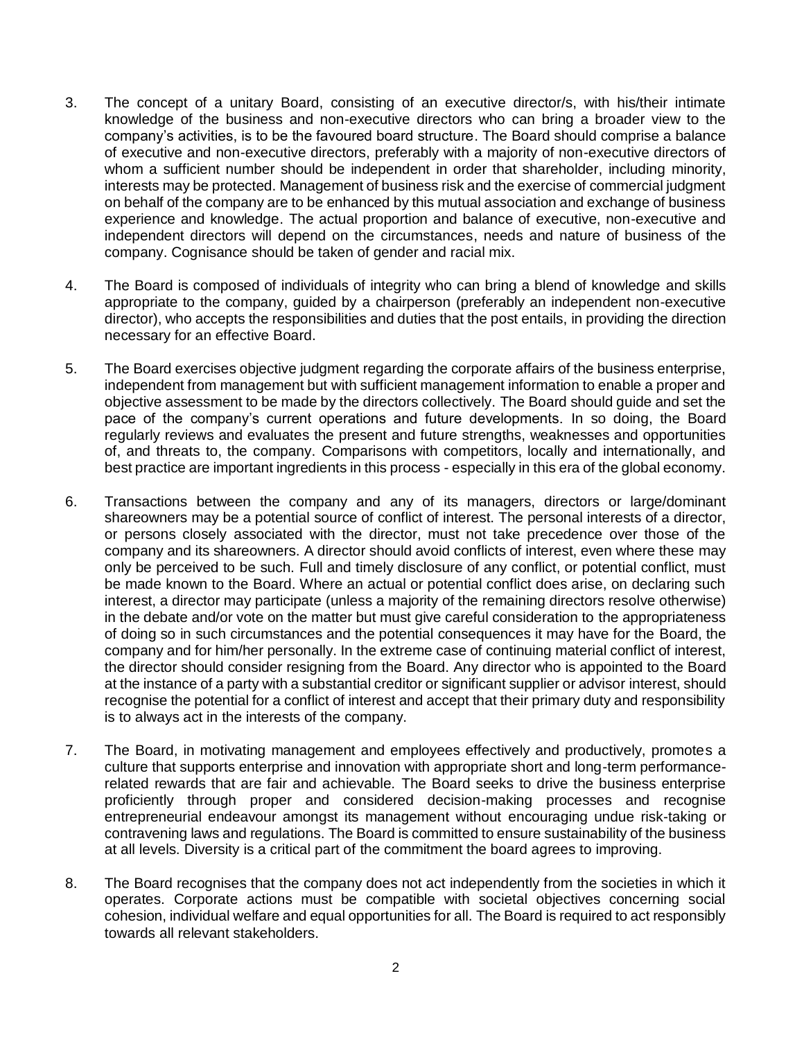- 3. The concept of a unitary Board, consisting of an executive director/s, with his/their intimate knowledge of the business and non-executive directors who can bring a broader view to the company's activities, is to be the favoured board structure. The Board should comprise a balance of executive and non-executive directors, preferably with a majority of non-executive directors of whom a sufficient number should be independent in order that shareholder, including minority, interests may be protected. Management of business risk and the exercise of commercial judgment on behalf of the company are to be enhanced by this mutual association and exchange of business experience and knowledge. The actual proportion and balance of executive, non-executive and independent directors will depend on the circumstances, needs and nature of business of the company. Cognisance should be taken of gender and racial mix.
- 4. The Board is composed of individuals of integrity who can bring a blend of knowledge and skills appropriate to the company, guided by a chairperson (preferably an independent non-executive director), who accepts the responsibilities and duties that the post entails, in providing the direction necessary for an effective Board.
- 5. The Board exercises objective judgment regarding the corporate affairs of the business enterprise, independent from management but with sufficient management information to enable a proper and objective assessment to be made by the directors collectively. The Board should guide and set the pace of the company's current operations and future developments. In so doing, the Board regularly reviews and evaluates the present and future strengths, weaknesses and opportunities of, and threats to, the company. Comparisons with competitors, locally and internationally, and best practice are important ingredients in this process - especially in this era of the global economy.
- 6. Transactions between the company and any of its managers, directors or large/dominant shareowners may be a potential source of conflict of interest. The personal interests of a director, or persons closely associated with the director, must not take precedence over those of the company and its shareowners. A director should avoid conflicts of interest, even where these may only be perceived to be such. Full and timely disclosure of any conflict, or potential conflict, must be made known to the Board. Where an actual or potential conflict does arise, on declaring such interest, a director may participate (unless a majority of the remaining directors resolve otherwise) in the debate and/or vote on the matter but must give careful consideration to the appropriateness of doing so in such circumstances and the potential consequences it may have for the Board, the company and for him/her personally. In the extreme case of continuing material conflict of interest, the director should consider resigning from the Board. Any director who is appointed to the Board at the instance of a party with a substantial creditor or significant supplier or advisor interest, should recognise the potential for a conflict of interest and accept that their primary duty and responsibility is to always act in the interests of the company.
- 7. The Board, in motivating management and employees effectively and productively, promotes a culture that supports enterprise and innovation with appropriate short and long-term performancerelated rewards that are fair and achievable. The Board seeks to drive the business enterprise proficiently through proper and considered decision-making processes and recognise entrepreneurial endeavour amongst its management without encouraging undue risk-taking or contravening laws and regulations. The Board is committed to ensure sustainability of the business at all levels. Diversity is a critical part of the commitment the board agrees to improving.
- 8. The Board recognises that the company does not act independently from the societies in which it operates. Corporate actions must be compatible with societal objectives concerning social cohesion, individual welfare and equal opportunities for all. The Board is required to act responsibly towards all relevant stakeholders.